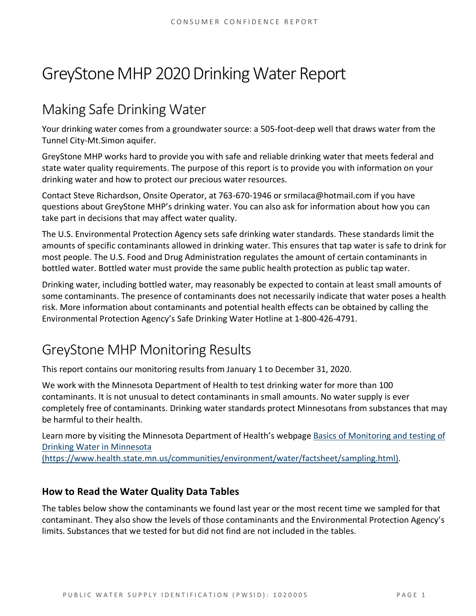# GreyStone MHP 2020 Drinking Water Report

## Making Safe Drinking Water

Your drinking water comes from a groundwater source: a 505-foot-deep well that draws water from the Tunnel City-Mt.Simon aquifer.

GreyStone MHP works hard to provide you with safe and reliable drinking water that meets federal and state water quality requirements. The purpose of this report is to provide you with information on your drinking water and how to protect our precious water resources.

Contact Steve Richardson, Onsite Operator, at 763-670-1946 or srmilaca@hotmail.com if you have questions about GreyStone MHP's drinking water. You can also ask for information about how you can take part in decisions that may affect water quality.

The U.S. Environmental Protection Agency sets safe drinking water standards. These standards limit the amounts of specific contaminants allowed in drinking water. This ensures that tap water is safe to drink for most people. The U.S. Food and Drug Administration regulates the amount of certain contaminants in bottled water. Bottled water must provide the same public health protection as public tap water.

Drinking water, including bottled water, may reasonably be expected to contain at least small amounts of some contaminants. The presence of contaminants does not necessarily indicate that water poses a health risk. More information about contaminants and potential health effects can be obtained by calling the Environmental Protection Agency's Safe Drinking Water Hotline at 1-800-426-4791.

### GreyStone MHP Monitoring Results

This report contains our monitoring results from January 1 to December 31, 2020.

We work with the Minnesota Department of Health to test drinking water for more than 100 contaminants. It is not unusual to detect contaminants in small amounts. No water supply is ever completely free of contaminants. Drinking water standards protect Minnesotans from substances that may be harmful to their health.

Learn more by visiting the Minnesota Department of Health's webpage [Basics of Monitoring and testing of](https://www.health.state.mn.us/communities/environment/water/factsheet/sampling.html)  [Drinking Water in Minnesota](https://www.health.state.mn.us/communities/environment/water/factsheet/sampling.html) 

[\(https://www.health.state.mn.us/communities/environment/water/factsheet/sampling.html\).](https://www.health.state.mn.us/communities/environment/water/factsheet/sampling.html)

#### **How to Read the Water Quality Data Tables**

The tables below show the contaminants we found last year or the most recent time we sampled for that contaminant. They also show the levels of those contaminants and the Environmental Protection Agency's limits. Substances that we tested for but did not find are not included in the tables.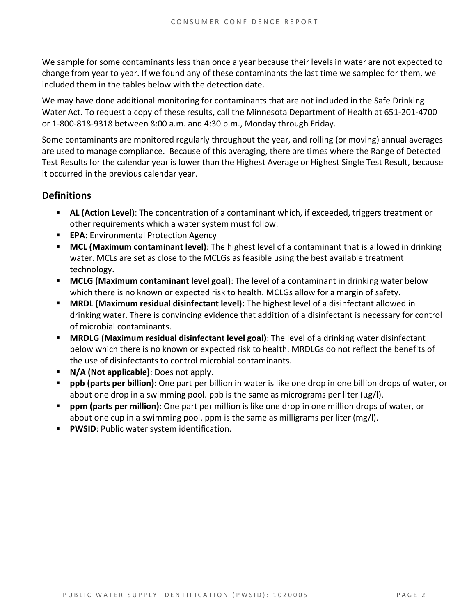We sample for some contaminants less than once a year because their levels in water are not expected to change from year to year. If we found any of these contaminants the last time we sampled for them, we included them in the tables below with the detection date.

We may have done additional monitoring for contaminants that are not included in the Safe Drinking Water Act. To request a copy of these results, call the Minnesota Department of Health at 651-201-4700 or 1-800-818-9318 between 8:00 a.m. and 4:30 p.m., Monday through Friday.

Some contaminants are monitored regularly throughout the year, and rolling (or moving) annual averages are used to manage compliance. Because of this averaging, there are times where the Range of Detected Test Results for the calendar year is lower than the Highest Average or Highest Single Test Result, because it occurred in the previous calendar year.

#### **Definitions**

- **AL (Action Level)**: The concentration of a contaminant which, if exceeded, triggers treatment or other requirements which a water system must follow.
- **EPA:** Environmental Protection Agency
- **MCL (Maximum contaminant level)**: The highest level of a contaminant that is allowed in drinking water. MCLs are set as close to the MCLGs as feasible using the best available treatment technology.
- **MCLG (Maximum contaminant level goal)**: The level of a contaminant in drinking water below which there is no known or expected risk to health. MCLGs allow for a margin of safety.
- **MRDL (Maximum residual disinfectant level):** The highest level of a disinfectant allowed in drinking water. There is convincing evidence that addition of a disinfectant is necessary for control of microbial contaminants.
- **MRDLG (Maximum residual disinfectant level goal)**: The level of a drinking water disinfectant below which there is no known or expected risk to health. MRDLGs do not reflect the benefits of the use of disinfectants to control microbial contaminants.
- **N/A (Not applicable)**: Does not apply.
- **ppb (parts per billion)**: One part per billion in water is like one drop in one billion drops of water, or about one drop in a swimming pool. ppb is the same as micrograms per liter ( $\mu$ g/l).
- **ppm (parts per million)**: One part per million is like one drop in one million drops of water, or about one cup in a swimming pool. ppm is the same as milligrams per liter (mg/l).
- **PWSID:** Public water system identification.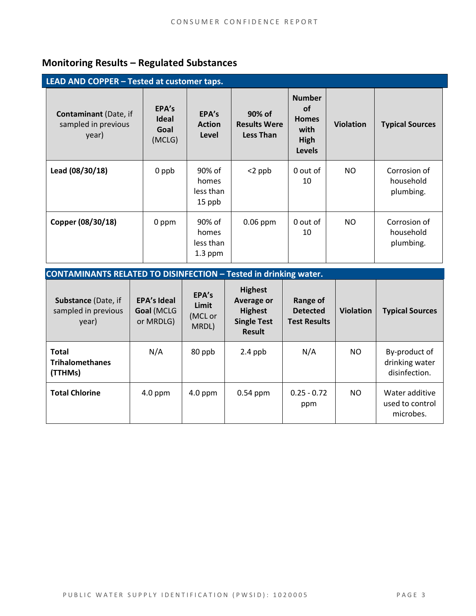### **Monitoring Results – Regulated Substances**

| LEAD AND COPPER - Tested at customer taps.                   |                                         |                                           |                                                   |                                                                             |                  |                                        |  |
|--------------------------------------------------------------|-----------------------------------------|-------------------------------------------|---------------------------------------------------|-----------------------------------------------------------------------------|------------------|----------------------------------------|--|
| <b>Contaminant</b> (Date, if<br>sampled in previous<br>year) | EPA's<br><b>Ideal</b><br>Goal<br>(MCLG) | EPA's<br><b>Action</b><br>Level           | 90% of<br><b>Results Were</b><br><b>Less Than</b> | <b>Number</b><br><b>of</b><br><b>Homes</b><br>with<br>High<br><b>Levels</b> | <b>Violation</b> | <b>Typical Sources</b>                 |  |
| Lead (08/30/18)                                              | 0 ppb                                   | 90% of<br>homes<br>less than<br>15 ppb    | $<$ 2 ppb                                         | 0 out of<br>10                                                              | NO               | Corrosion of<br>household<br>plumbing. |  |
| Copper (08/30/18)                                            | 0 ppm                                   | 90% of<br>homes<br>less than<br>$1.3$ ppm | $0.06$ ppm                                        | 0 out of<br>10                                                              | NO.              | Corrosion of<br>household<br>plumbing. |  |

| <b>CONTAMINANTS RELATED TO DISINFECTION - Tested in drinking water.</b> |                                               |                                    |                                                                                              |                                                    |                  |                                                  |
|-------------------------------------------------------------------------|-----------------------------------------------|------------------------------------|----------------------------------------------------------------------------------------------|----------------------------------------------------|------------------|--------------------------------------------------|
| Substance (Date, if<br>sampled in previous<br>year)                     | <b>EPA's Ideal</b><br>Goal (MCLG<br>or MRDLG) | EPA's<br>Limit<br>(MCL or<br>MRDL) | <b>Highest</b><br><b>Average or</b><br><b>Highest</b><br><b>Single Test</b><br><b>Result</b> | Range of<br><b>Detected</b><br><b>Test Results</b> | <b>Violation</b> | <b>Typical Sources</b>                           |
| <b>Total</b><br><b>Trihalomethanes</b><br>(TTHMs)                       | N/A                                           | 80 ppb                             | $2.4$ ppb                                                                                    | N/A                                                | NO.              | By-product of<br>drinking water<br>disinfection. |
| <b>Total Chlorine</b>                                                   | $4.0$ ppm                                     | $4.0$ ppm                          | $0.54$ ppm                                                                                   | $0.25 - 0.72$<br>ppm                               | NO.              | Water additive<br>used to control<br>microbes.   |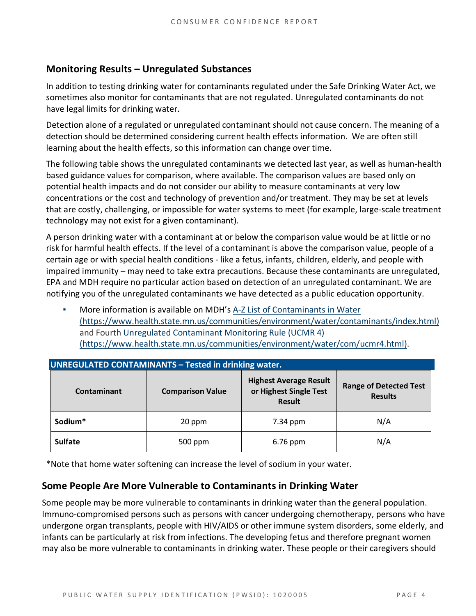#### **Monitoring Results – Unregulated Substances**

In addition to testing drinking water for contaminants regulated under the Safe Drinking Water Act, we sometimes also monitor for contaminants that are not regulated. Unregulated contaminants do not have legal limits for drinking water.

Detection alone of a regulated or unregulated contaminant should not cause concern. The meaning of a detection should be determined considering current health effects information. We are often still learning about the health effects, so this information can change over time.

The following table shows the unregulated contaminants we detected last year, as well as human-health based guidance values for comparison, where available. The comparison values are based only on potential health impacts and do not consider our ability to measure contaminants at very low concentrations or the cost and technology of prevention and/or treatment. They may be set at levels that are costly, challenging, or impossible for water systems to meet (for example, large-scale treatment technology may not exist for a given contaminant).

A person drinking water with a contaminant at or below the comparison value would be at little or no risk for harmful health effects. If the level of a contaminant is above the comparison value, people of a certain age or with special health conditions - like a fetus, infants, children, elderly, and people with impaired immunity – may need to take extra precautions. Because these contaminants are unregulated, EPA and MDH require no particular action based on detection of an unregulated contaminant. We are notifying you of the unregulated contaminants we have detected as a public education opportunity.

More information is available on MDH's A-Z List of Contaminants in Water [\(https://www.health.state.mn.us/communities/environment/water/contaminants/index.html\)](https://www.health.state.mn.us/communities/environment/water/contaminants/index.html) and Fourth [Unregulated Contaminant Monitoring Rule \(UCMR 4\)](https://www.health.state.mn.us/communities/environment/water/com/ucmr4.html)  [\(https://www.health.state.mn.us/communities/environment/water/com/ucmr4.html\).](https://www.health.state.mn.us/communities/environment/water/com/ucmr4.html)

| <b>UNREGULATED CONTAMINANTS - Tested in drinking water.</b> |                         |                                                                          |                                                 |  |  |  |  |
|-------------------------------------------------------------|-------------------------|--------------------------------------------------------------------------|-------------------------------------------------|--|--|--|--|
| Contaminant                                                 | <b>Comparison Value</b> | <b>Highest Average Result</b><br>or Highest Single Test<br><b>Result</b> | <b>Range of Detected Test</b><br><b>Results</b> |  |  |  |  |
| Sodium*                                                     | 20 ppm                  | 7.34 ppm                                                                 | N/A                                             |  |  |  |  |
| <b>Sulfate</b>                                              | 500 ppm                 |                                                                          | N/A                                             |  |  |  |  |

\*Note that home water softening can increase the level of sodium in your water.

#### **Some People Are More Vulnerable to Contaminants in Drinking Water**

Some people may be more vulnerable to contaminants in drinking water than the general population. Immuno-compromised persons such as persons with cancer undergoing chemotherapy, persons who have undergone organ transplants, people with HIV/AIDS or other immune system disorders, some elderly, and infants can be particularly at risk from infections. The developing fetus and therefore pregnant women may also be more vulnerable to contaminants in drinking water. These people or their caregivers should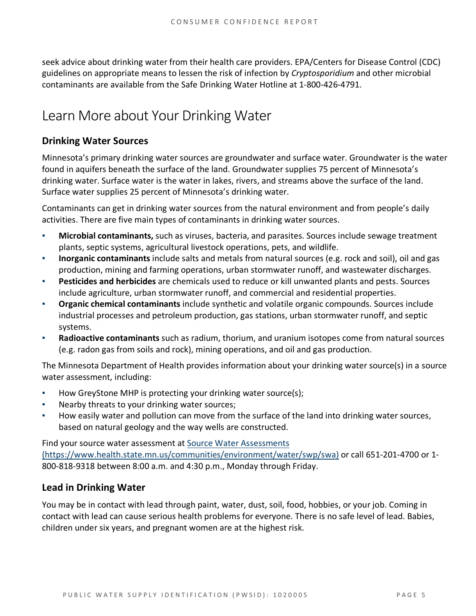seek advice about drinking water from their health care providers. EPA/Centers for Disease Control (CDC) guidelines on appropriate means to lessen the risk of infection by *Cryptosporidium* and other microbial contaminants are available from the Safe Drinking Water Hotline at 1-800-426-4791.

### Learn More about Your Drinking Water

#### **Drinking Water Sources**

Minnesota's primary drinking water sources are groundwater and surface water. Groundwater is the water found in aquifers beneath the surface of the land. Groundwater supplies 75 percent of Minnesota's drinking water. Surface water is the water in lakes, rivers, and streams above the surface of the land. Surface water supplies 25 percent of Minnesota's drinking water.

Contaminants can get in drinking water sources from the natural environment and from people's daily activities. There are five main types of contaminants in drinking water sources.

- **Microbial contaminants,** such as viruses, bacteria, and parasites. Sources include sewage treatment plants, septic systems, agricultural livestock operations, pets, and wildlife.
- **Inorganic contaminants** include salts and metals from natural sources (e.g. rock and soil), oil and gas production, mining and farming operations, urban stormwater runoff, and wastewater discharges.
- **Pesticides and herbicides** are chemicals used to reduce or kill unwanted plants and pests. Sources include agriculture, urban stormwater runoff, and commercial and residential properties.
- Organic chemical contaminants include synthetic and volatile organic compounds. Sources include industrial processes and petroleum production, gas stations, urban stormwater runoff, and septic systems.
- **Radioactive contaminants** such as radium, thorium, and uranium isotopes come from natural sources (e.g. radon gas from soils and rock), mining operations, and oil and gas production.

The Minnesota Department of Health provides information about your drinking water source(s) in a source water assessment, including:

- How GreyStone MHP is protecting your drinking water source(s);
- Nearby threats to your drinking water sources;
- How easily water and pollution can move from the surface of the land into drinking water sources, based on natural geology and the way wells are constructed.

Find your source water assessment a[t Source Water Assessments](https://www.health.state.mn.us/communities/environment/water/swp/swa)  [\(https://www.health.state.mn.us/communities/environment/water/swp/swa\)](https://www.health.state.mn.us/communities/environment/water/swp/swa) or call 651-201-4700 or 1- 800-818-9318 between 8:00 a.m. and 4:30 p.m., Monday through Friday.

#### **Lead in Drinking Water**

You may be in contact with lead through paint, water, dust, soil, food, hobbies, or your job. Coming in contact with lead can cause serious health problems for everyone. There is no safe level of lead. Babies, children under six years, and pregnant women are at the highest risk.